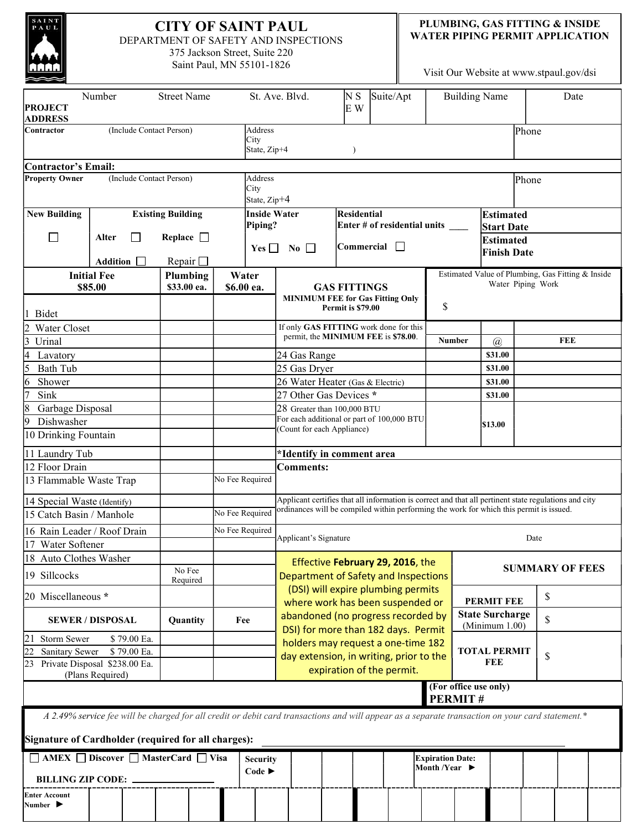| SAINT<br><b>CITY OF SAINT PAUL</b><br>PAUL<br>DEPARTMENT OF SAFETY AND INSPECTIONS<br>375 Jackson Street, Suite 220<br>Saint Paul, MN 55101-1826 |                              |             |        |                                               |                                               |                             |                                                                               |                                                                        |                                                                                         | PLUMBING, GAS FITTING & INSIDE<br><b>WATER PIPING PERMIT APPLICATION</b><br>Visit Our Website at www.stpaul.gov/dsi |                                                                                                       |                                                   |                    |                        |    |            |  |  |
|--------------------------------------------------------------------------------------------------------------------------------------------------|------------------------------|-------------|--------|-----------------------------------------------|-----------------------------------------------|-----------------------------|-------------------------------------------------------------------------------|------------------------------------------------------------------------|-----------------------------------------------------------------------------------------|---------------------------------------------------------------------------------------------------------------------|-------------------------------------------------------------------------------------------------------|---------------------------------------------------|--------------------|------------------------|----|------------|--|--|
| <b>Street Name</b><br>Number<br><b>PROJECT</b><br><b>ADDRESS</b>                                                                                 |                              |             |        | St. Ave. Blvd.<br>Suite/Apt<br>N S<br>E W     |                                               |                             |                                                                               | <b>Building Name</b>                                                   |                                                                                         |                                                                                                                     |                                                                                                       | Date                                              |                    |                        |    |            |  |  |
| Contractor                                                                                                                                       | (Include Contact Person)     |             |        |                                               | Address<br>City<br>State, Zip+4<br>$\lambda$  |                             |                                                                               |                                                                        |                                                                                         |                                                                                                                     |                                                                                                       | Phone                                             |                    |                        |    |            |  |  |
| Contractor's Email:                                                                                                                              |                              |             |        |                                               |                                               |                             |                                                                               |                                                                        |                                                                                         |                                                                                                                     |                                                                                                       |                                                   |                    |                        |    |            |  |  |
| <b>Property Owner</b><br>(Include Contact Person)                                                                                                |                              |             |        | City                                          | Address<br>State, Zip+4                       |                             |                                                                               |                                                                        | Phone                                                                                   |                                                                                                                     |                                                                                                       |                                                   |                    |                        |    |            |  |  |
| <b>Existing Building</b><br><b>New Building</b>                                                                                                  |                              |             |        |                                               | <b>Inside Water</b><br>Residential<br>Piping? |                             |                                                                               |                                                                        |                                                                                         | <b>Estimated</b><br>Enter # of residential units ____                                                               |                                                                                                       |                                                   |                    |                        |    |            |  |  |
| П                                                                                                                                                | Replace $\Box$<br>П<br>Alter |             |        |                                               | <b>Commercial</b><br>$Yes \Box No \Box$       |                             |                                                                               | $\mathbf{I}$                                                           | <b>Start Date</b><br><b>Estimated</b><br><b>Finish Date</b>                             |                                                                                                                     |                                                                                                       |                                                   |                    |                        |    |            |  |  |
|                                                                                                                                                  | Addition                     |             |        | Repair $\Box$                                 |                                               |                             |                                                                               |                                                                        |                                                                                         |                                                                                                                     |                                                                                                       |                                                   |                    |                        |    |            |  |  |
|                                                                                                                                                  | <b>Initial Fee</b>           |             |        | Water<br>Plumbing                             |                                               |                             |                                                                               |                                                                        |                                                                                         |                                                                                                                     |                                                                                                       | Estimated Value of Plumbing, Gas Fitting & Inside |                    |                        |    |            |  |  |
|                                                                                                                                                  | \$85.00                      |             |        | \$33.00 ea.<br>\$6.00 ea.                     |                                               |                             |                                                                               | <b>GAS FITTINGS</b>                                                    |                                                                                         |                                                                                                                     |                                                                                                       | Water Piping Work                                 |                    |                        |    |            |  |  |
| Bidet                                                                                                                                            |                              |             |        |                                               |                                               |                             | <b>MINIMUM FEE for Gas Fitting Only</b><br>Permit is \$79.00                  |                                                                        | \$                                                                                      |                                                                                                                     |                                                                                                       |                                                   |                    |                        |    |            |  |  |
| Water Closet                                                                                                                                     |                              |             |        |                                               |                                               |                             | If only GAS FITTING work done for this<br>permit, the MINIMUM FEE is \$78.00. |                                                                        |                                                                                         |                                                                                                                     |                                                                                                       |                                                   |                    |                        |    |            |  |  |
| $\overline{3}$<br>Urinal                                                                                                                         |                              |             |        |                                               |                                               |                             |                                                                               |                                                                        |                                                                                         |                                                                                                                     |                                                                                                       | <b>Number</b>                                     | $\mathcal{a}$      |                        |    | <b>FEE</b> |  |  |
| Lavatory                                                                                                                                         |                              |             |        |                                               |                                               |                             | 24 Gas Range                                                                  |                                                                        |                                                                                         |                                                                                                                     |                                                                                                       | \$31.00                                           |                    |                        |    |            |  |  |
| 5<br>Bath Tub<br>6<br>Shower                                                                                                                     |                              |             |        |                                               |                                               |                             | 25 Gas Dryer                                                                  |                                                                        |                                                                                         |                                                                                                                     |                                                                                                       |                                                   | \$31.00<br>\$31.00 |                        |    |            |  |  |
| Sink                                                                                                                                             |                              |             |        |                                               |                                               |                             | 26 Water Heater (Gas & Electric)<br>27 Other Gas Devices *                    |                                                                        |                                                                                         |                                                                                                                     |                                                                                                       |                                                   | \$31.00            |                        |    |            |  |  |
| $\overline{8}$<br>Garbage Disposal                                                                                                               |                              |             |        |                                               |                                               | 28 Greater than 100,000 BTU |                                                                               |                                                                        |                                                                                         |                                                                                                                     |                                                                                                       |                                                   |                    |                        |    |            |  |  |
| Dishwasher<br>19                                                                                                                                 |                              |             |        |                                               |                                               |                             | For each additional or part of 100,000 BTU                                    |                                                                        |                                                                                         |                                                                                                                     | \$13.00                                                                                               |                                                   |                    |                        |    |            |  |  |
| 10 Drinking Fountain                                                                                                                             |                              |             |        |                                               |                                               |                             | (Count for each Appliance)                                                    |                                                                        |                                                                                         |                                                                                                                     |                                                                                                       |                                                   |                    |                        |    |            |  |  |
| 11 Laundry Tub                                                                                                                                   |                              |             |        |                                               |                                               |                             | *Identify in comment area                                                     |                                                                        |                                                                                         |                                                                                                                     |                                                                                                       |                                                   |                    |                        |    |            |  |  |
| 12 Floor Drain<br>13 Flammable Waste Trap                                                                                                        |                              |             |        |                                               |                                               | No Fee Required             | Comments:                                                                     |                                                                        |                                                                                         |                                                                                                                     |                                                                                                       |                                                   |                    |                        |    |            |  |  |
| 14 Special Waste (Identify)                                                                                                                      |                              |             |        |                                               |                                               |                             |                                                                               |                                                                        |                                                                                         |                                                                                                                     | Applicant certifies that all information is correct and that all pertinent state regulations and city |                                                   |                    |                        |    |            |  |  |
| 15 Catch Basin / Manhole                                                                                                                         |                              |             |        |                                               |                                               | No Fee Required             |                                                                               |                                                                        | ordinances will be compiled within performing the work for which this permit is issued. |                                                                                                                     |                                                                                                       |                                                   |                    |                        |    |            |  |  |
| 16 Rain Leader / Roof Drain                                                                                                                      |                              |             |        |                                               |                                               | No Fee Required             |                                                                               | Applicant's Signature<br>Date                                          |                                                                                         |                                                                                                                     |                                                                                                       |                                                   |                    |                        |    |            |  |  |
| Water Softener                                                                                                                                   |                              |             |        |                                               |                                               |                             |                                                                               |                                                                        |                                                                                         |                                                                                                                     |                                                                                                       |                                                   |                    |                        |    |            |  |  |
| 18 Auto Clothes Washer<br>19 Sillcocks                                                                                                           |                              |             | No Fee |                                               |                                               |                             | Effective February 29, 2016, the<br>Department of Safety and Inspections      |                                                                        |                                                                                         |                                                                                                                     |                                                                                                       |                                                   |                    | <b>SUMMARY OF FEES</b> |    |            |  |  |
| 20 Miscellaneous *                                                                                                                               |                              |             |        | Required                                      |                                               |                             | (DSI) will expire plumbing permits                                            |                                                                        |                                                                                         |                                                                                                                     |                                                                                                       |                                                   |                    | \$                     |    |            |  |  |
| <b>SEWER / DISPOSAL</b>                                                                                                                          |                              |             |        |                                               |                                               | Fee                         |                                                                               | where work has been suspended or<br>abandoned (no progress recorded by |                                                                                         |                                                                                                                     |                                                                                                       | <b>PERMIT FEE</b><br><b>State Surcharge</b>       |                    |                        |    |            |  |  |
|                                                                                                                                                  |                              |             |        | Quantity                                      |                                               |                             | DSI) for more than 182 days. Permit                                           |                                                                        |                                                                                         |                                                                                                                     |                                                                                                       |                                                   | (Minimum 1.00)     |                        | \$ |            |  |  |
| 21<br>Storm Sewer                                                                                                                                |                              | \$79.00 Ea. |        |                                               |                                               |                             | holders may request a one-time 182                                            |                                                                        |                                                                                         |                                                                                                                     |                                                                                                       |                                                   |                    |                        |    |            |  |  |
| \$79.00 Ea.<br>Sanitary Sewer                                                                                                                    |                              |             |        |                                               |                                               |                             | day extension, in writing, prior to the                                       |                                                                        |                                                                                         |                                                                                                                     | <b>TOTAL PERMIT</b><br>FEE                                                                            |                                                   |                    | \$                     |    |            |  |  |
| 23 Private Disposal \$238.00 Ea.<br>(Plans Required)                                                                                             |                              |             |        |                                               |                                               | expiration of the permit.   |                                                                               |                                                                        |                                                                                         |                                                                                                                     |                                                                                                       |                                                   |                    |                        |    |            |  |  |
| (For office use only)<br><b>PERMIT#</b>                                                                                                          |                              |             |        |                                               |                                               |                             |                                                                               |                                                                        |                                                                                         |                                                                                                                     |                                                                                                       |                                                   |                    |                        |    |            |  |  |
| A 2.49% service fee will be charged for all credit or debit card transactions and will appear as a separate transaction on your card statement.* |                              |             |        |                                               |                                               |                             |                                                                               |                                                                        |                                                                                         |                                                                                                                     |                                                                                                       |                                                   |                    |                        |    |            |  |  |
| Signature of Cardholder (required for all charges):                                                                                              |                              |             |        |                                               |                                               |                             |                                                                               |                                                                        |                                                                                         |                                                                                                                     |                                                                                                       |                                                   |                    |                        |    |            |  |  |
| □ AMEX □ Discover □ MasterCard □ Visa                                                                                                            |                              |             |        | <b>Security</b><br>Code $\blacktriangleright$ |                                               |                             |                                                                               | Month /Year $\blacktriangleright$                                      | <b>Expiration Date:</b>                                                                 |                                                                                                                     |                                                                                                       |                                                   |                    |                        |    |            |  |  |
| <b>BILLING ZIP CODE: .</b>                                                                                                                       |                              |             |        |                                               |                                               |                             |                                                                               |                                                                        |                                                                                         |                                                                                                                     |                                                                                                       |                                                   |                    |                        |    |            |  |  |
| <b>Enter Account</b><br>Number $\blacktriangleright$                                                                                             |                              |             |        |                                               |                                               |                             |                                                                               |                                                                        |                                                                                         |                                                                                                                     |                                                                                                       |                                                   |                    |                        |    |            |  |  |